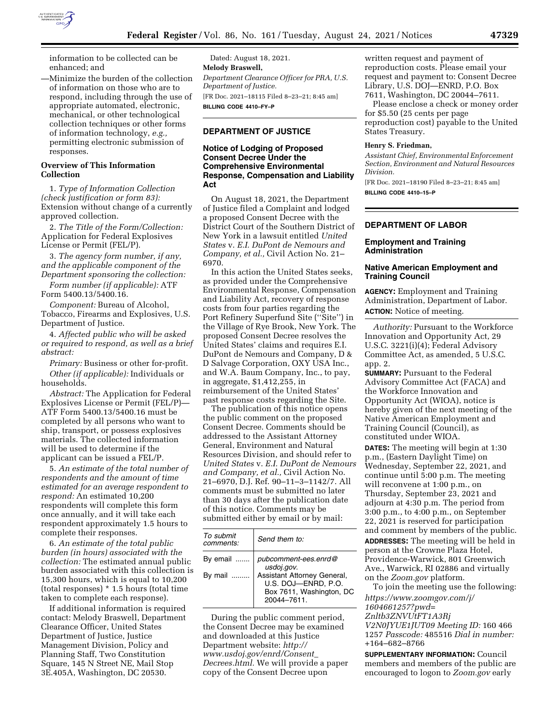

information to be collected can be enhanced; and

—Minimize the burden of the collection of information on those who are to respond, including through the use of appropriate automated, electronic, mechanical, or other technological collection techniques or other forms of information technology, *e.g.,*  permitting electronic submission of responses.

## **Overview of This Information Collection**

1. *Type of Information Collection (check justification or form 83):*  Extension without change of a currently approved collection.

2. *The Title of the Form/Collection:*  Application for Federal Explosives License or Permit (FEL/P).

3. *The agency form number, if any, and the applicable component of the Department sponsoring the collection:* 

*Form number (if applicable):* ATF Form 5400.13/5400.16.

*Component:* Bureau of Alcohol, Tobacco, Firearms and Explosives, U.S. Department of Justice.

4. *Affected public who will be asked or required to respond, as well as a brief abstract:* 

*Primary:* Business or other for-profit. *Other (if applicable):* Individuals or households.

*Abstract:* The Application for Federal Explosives License or Permit (FEL/P)— ATF Form 5400.13/5400.16 must be completed by all persons who want to ship, transport, or possess explosives materials. The collected information will be used to determine if the applicant can be issued a FEL/P.

5. *An estimate of the total number of respondents and the amount of time estimated for an average respondent to respond:* An estimated 10,200 respondents will complete this form once annually, and it will take each respondent approximately 1.5 hours to complete their responses.

6. *An estimate of the total public burden (in hours) associated with the collection:* The estimated annual public burden associated with this collection is 15,300 hours, which is equal to 10,200 (total responses) \* 1.5 hours (total time taken to complete each response).

If additional information is required contact: Melody Braswell, Department Clearance Officer, United States Department of Justice, Justice Management Division, Policy and Planning Staff, Two Constitution Square, 145 N Street NE, Mail Stop 3E.405A, Washington, DC 20530.

Dated: August 18, 2021. **Melody Braswell,**  *Department Clearance Officer for PRA, U.S. Department of Justice.*  [FR Doc. 2021–18115 Filed 8–23–21; 8:45 am] **BILLING CODE 4410–FY–P** 

# **DEPARTMENT OF JUSTICE**

### **Notice of Lodging of Proposed Consent Decree Under the Comprehensive Environmental Response, Compensation and Liability Act**

On August 18, 2021, the Department of Justice filed a Complaint and lodged a proposed Consent Decree with the District Court of the Southern District of New York in a lawsuit entitled *United States* v. *E.I. DuPont de Nemours and Company, et al.,* Civil Action No. 21– 6970.

In this action the United States seeks, as provided under the Comprehensive Environmental Response, Compensation and Liability Act, recovery of response costs from four parties regarding the Port Refinery Superfund Site (''Site'') in the Village of Rye Brook, New York. The proposed Consent Decree resolves the United States' claims and requires E.I. DuPont de Nemours and Company, D & D Salvage Corporation, OXY USA Inc., and W.A. Baum Company, Inc., to pay, in aggregate, \$1,412,255, in reimbursement of the United States' past response costs regarding the Site.

The publication of this notice opens the public comment on the proposed Consent Decree. Comments should be addressed to the Assistant Attorney General, Environment and Natural Resources Division, and should refer to *United States* v. *E.I. DuPont de Nemours and Company, et al.,* Civil Action No. 21–6970, D.J. Ref. 90–11–3–1142/7. All comments must be submitted no later than 30 days after the publication date of this notice. Comments may be submitted either by email or by mail:

| To submit<br>comments: | Send them to:                                                                                                                      |
|------------------------|------------------------------------------------------------------------------------------------------------------------------------|
| By email<br>By mail    | pubcomment-ees.enrd@<br>usdoj.gov.<br>Assistant Attorney General,<br>U.S. DOJ-ENRD, P.O.<br>Box 7611, Washington, DC<br>20044-7611 |

During the public comment period, the Consent Decree may be examined and downloaded at this Justice Department website: *[http://](http://www.usdoj.gov/enrd/Consent_Decrees.html) [www.usdoj.gov/enrd/Consent](http://www.usdoj.gov/enrd/Consent_Decrees.html)*\_ *[Decrees.html.](http://www.usdoj.gov/enrd/Consent_Decrees.html)* We will provide a paper copy of the Consent Decree upon

written request and payment of reproduction costs. Please email your request and payment to: Consent Decree Library, U.S. DOJ—ENRD, P.O. Box 7611, Washington, DC 20044–7611.

Please enclose a check or money order for \$5.50 (25 cents per page reproduction cost) payable to the United States Treasury.

#### **Henry S. Friedman,**

*Assistant Chief, Environmental Enforcement Section, Environment and Natural Resources Division.* 

[FR Doc. 2021–18190 Filed 8–23–21; 8:45 am] **BILLING CODE 4410–15–P** 

#### **DEPARTMENT OF LABOR**

#### **Employment and Training Administration**

## **Native American Employment and Training Council**

**AGENCY:** Employment and Training Administration, Department of Labor. **ACTION:** Notice of meeting.

*Authority:* Pursuant to the Workforce Innovation and Opportunity Act, 29 U.S.C. 3221(i)(4); Federal Advisory Committee Act, as amended, 5 U.S.C. app. 2.

**SUMMARY:** Pursuant to the Federal Advisory Committee Act (FACA) and the Workforce Innovation and Opportunity Act (WIOA), notice is hereby given of the next meeting of the Native American Employment and Training Council (Council), as constituted under WIOA.

**DATES:** The meeting will begin at 1:30 p.m., (Eastern Daylight Time) on Wednesday, September 22, 2021, and continue until 5:00 p.m. The meeting will reconvene at 1:00 p.m., on Thursday, September 23, 2021 and adjourn at 4:30 p.m. The period from 3:00 p.m., to 4:00 p.m., on September 22, 2021 is reserved for participation and comment by members of the public.

**ADDRESSES:** The meeting will be held in person at the Crowne Plaza Hotel, Providence-Warwick, 801 Greenwich Ave., Warwick, RI 02886 and virtually on the *Zoom.gov* platform.

To join the meeting use the following: *[https://www.zoomgov.com/j/](https://www.zoomgov.com/j/1604661257?pwd=Znltb3ZNVUtFT1A3Rj)  [1604661257?pwd=](https://www.zoomgov.com/j/1604661257?pwd=Znltb3ZNVUtFT1A3Rj) [Znltb3ZNVUtFT1A3Rj](https://www.zoomgov.com/j/1604661257?pwd=Znltb3ZNVUtFT1A3Rj) V2N0JYUE1JUT09 Meeting ID:* 160 466 1257 *Passcode:* 485516 *Dial in number:*  +164–682–8766

**SUPPLEMENTARY INFORMATION:** Council members and members of the public are encouraged to logon to *Zoom.gov* early